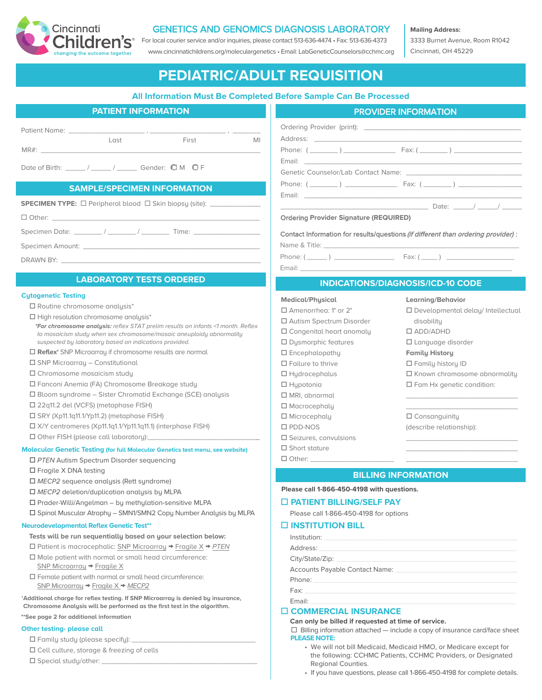

# GENETICS AND GENOMICS DIAGNOSIS LABORATORY

[F](https://www.cincinnatichildrens.org/service/d/diagnostic-labs/cytogenetics)or local courier service and/or inquiries, please contact 513-636-4474 • Fax: 513-636-4373 www.cincinnatichildrens.org/moleculargenetics • Email: LabGeneticCounselors@cchmc.org **Mailing Address:**

3333 Burnet Avenue, Room R1042 Cincinnati, OH 45229

# **PEDIATRIC/ADULT REQUISITION**

## **All Information Must Be Completed Before Sample Can Be Processed**

| <b>PATIENT INFORMATION</b> |       |       |    |  |
|----------------------------|-------|-------|----|--|
| <b>Patient Name:</b>       | ten I | First | MI |  |
| MR#                        |       |       |    |  |

Date of Birth:  $/$   $/$   $/$  Gender:  $\mathbb{Q}$  M  $\mathbb{Q}$  F

## **SAMPLE/SPECIMEN INFORMATION**

|  | <b>SPECIMEN TYPE:</b> $\Box$ Peripheral blood $\Box$ Skin biopsy (site): |  |  |
|--|--------------------------------------------------------------------------|--|--|
|--|--------------------------------------------------------------------------|--|--|

 $\Box$  Other:

Specimen Date:  $\frac{1}{2}$  /  $\frac{1}{2}$  Time:

Specimen Amount: \_

DRAWN BY: \_\_\_\_\_\_\_\_\_\_\_\_\_\_\_\_\_\_\_\_\_\_\_\_\_\_\_\_\_\_\_\_\_\_\_\_\_\_\_\_\_\_\_\_\_\_\_\_\_\_

## **LABORATORY TESTS ORDERED**

#### **Cytogenetic Testing**

- $\square$  Routine chromosome analysis\*
- $\square$  High resolution chromosome analysis\*
- *\*For chromosome analysis: reflex STAT prelim results on infants <1 month. Reflex to mosaicism study when sex chromosome/mosaic aneuploidy abnormality suspected by laboratory based on indications provided.*
- □ **Reflex<sup>†</sup>** SNP Microarray if chromosome results are normal
- $\square$  SNP Microarray Constitutional
- $\square$  Chromosome mosaicism study
- o Fanconi Anemia (FA) Chromosome Breakage study
- $\square$  Bloom syndrome Sister Chromatid Exchange (SCE) analysis
- □ 22q11.2 del (VCFS) (metaphase FISH)
- $\square$  SRY (Xp11.1q11.1/Yp11.2) (metaphase FISH)
- □ X/Y centromeres (Xp11.1q1.1/Yp11.1q11.1) (interphase FISH)
- $\Box$  Other FISH (please call laboratory):

#### **Molecular Genetic Testing (for full Molecular Genetics test menu, see website)**

- □ PTEN Autism Spectrum Disorder sequencing
- $\square$  Fragile X DNA testing
- □ *MECP2* sequence analysis (Rett syndrome)
- □ MECP2 deletion/duplication analysis by MLPA
- $\square$  Prader-Willi/Angelman by methylation-sensitive MLPA
- $\square$  Spinal Muscular Atrophy SMN1/SMN2 Copy Number Analysis by MLPA

#### **Neurodevelopmental Reflex Genetic Test\*\***

- **Tests will be run sequentially based on your selection below:**
- o Patient is macrocephalic: SNP Microarray → Fragile X → *PTEN*
- $\Box$  Male patient with normal or small head circumference: SNP Microarray → Fragile X
- $\Box$  Female patient with normal or small head circumference: SNP Microarray → Fragile X → *MECP2*

**†Additional charge for reflex testing. If SNP Microarray is denied by insurance, Chromosome Analysis will be performed as the first test in the algorithm. \*\*See page 2 for additional information**

#### **Other testing- please call**

- $\square$  Family study (please specify):
- $\square$  Cell culture, storage & freezing of cells
- $\square$  Special study/other:

| <b>PATIENT INFORMATION</b>                            | <b>PROVIDER INFORMATION</b>                                                                                                                                    |  |  |
|-------------------------------------------------------|----------------------------------------------------------------------------------------------------------------------------------------------------------------|--|--|
| MI<br>Last<br>First                                   |                                                                                                                                                                |  |  |
| $/$ Gender: $\mathbb{Q}$ M $\mathbb{Q}$ F             | Genetic Counselor/Lab Contact Name: Sensitive Sensitive Sensitive Sensitive Sensitive Sensitive Sensitive Sensi                                                |  |  |
| <b>LE/SPECIMEN INFORMATION</b>                        | Phone: $(\_\_)$ $\_\_$ Fax: $(\_\_)$<br>Email: <u>Alexander Alexander Alexander Alexander Alexander Alexander Alexander Alexander Alexander Alexander Alex</u> |  |  |
| eripheral blood □ Skin biopsy (site): _______________ | <b>Ordering Provider Signature (REQUIRED)</b>                                                                                                                  |  |  |

Contact Information for results/questions (if different than ordering provider) :

Name & Title:

Phone:  $(\_\_)$   $\_\_$  Fax:  $(\_\_)$   $\_\_$ 

Email: \_\_\_\_\_\_\_\_\_\_\_\_\_\_\_\_\_\_\_\_\_\_\_\_\_\_\_\_\_\_\_\_\_\_\_\_\_\_\_\_\_\_\_\_\_\_\_\_\_\_\_\_\_

 $\Box$  Other:  $\_$ 

## **INDICATIONS/DIAGNOSIS/ICD-10 CODE**

#### **Medical/Physical**

 $\Box$  Amenorrhea: 1° or 2° o Autism Spectrum Disorder  $\square$  Congenital heart anomaly  $\square$  Dysmorphic features  $\square$  Encephalopathu  $\square$  Failure to thrive  $\Box$  Hydrocephalus  $\Box$  Hypotonia  $\square$  MRI, abnormal  $\square$  Macrocephaly  $\square$  Microcephaly  $\Box$  PDD-NOS  $\square$  Seizures, convulsions  $\square$  Short stature

 $\square$  Language disorder **Family History**

 $\square$  Family history ID

**Learning/Behavior**

disability o ADD/ADHD

 $\square$  Known chromosome abnormality

\_\_\_\_\_\_\_\_\_\_\_\_\_\_\_\_\_\_\_\_\_\_\_\_\_\_\_\_ \_\_\_\_\_\_\_\_\_\_\_\_\_\_\_\_\_\_\_\_\_\_\_\_\_\_\_\_

\_\_\_\_\_\_\_\_\_\_\_\_\_\_\_\_\_\_\_\_\_\_\_\_\_\_\_\_ \_\_\_\_\_\_\_\_\_\_\_\_\_\_\_\_\_\_\_\_\_\_\_\_\_\_\_\_ \_\_\_\_\_\_\_\_\_\_\_\_\_\_\_\_\_\_\_\_\_\_\_\_\_\_\_\_

 $\square$  Developmental delay/ Intellectual

 $\square$  Fam Hx genetic condition:

 $\square$  Consanguinity (describe relationship):

**BILLING INFORMATION**

#### **Please call 1-866-450-4198 with questions.**

#### o **PATIENT BILLING/SELF PAY**

Please call 1-866-450-4198 for options

#### o **INSTITUTION BILL**

| Institution:    |
|-----------------|
| Address: 2008   |
| City/State/Zip: |
|                 |
|                 |
|                 |
| Email:          |

#### o **COMMERCIAL INSURANCE**

**Can only be billed if requested at time of service.**

 $\Box$  Billing information attached — include a copy of insurance card/face sheet **PLEASE NOTE:** 

- We will not bill Medicaid, Medicaid HMO, or Medicare except for the following: CCHMC Patients, CCHMC Providers, or Designated Regional Counties.
- If you have questions, please call 1-866-450-4198 for complete details.